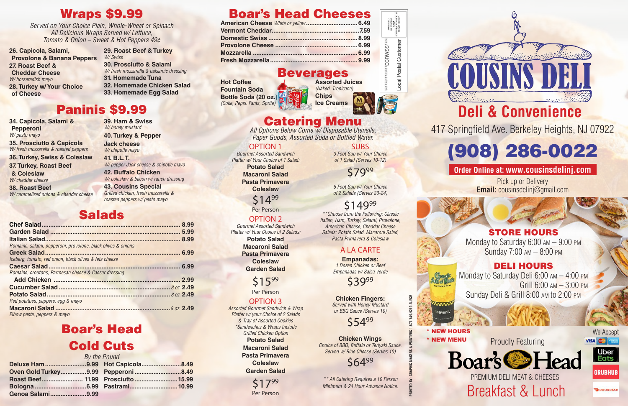# Boar's Head Cheeses

### Beverages

**Hot Coffee Fountain Soda Bottle Soda (20 oz.)** *(Coke, Pepsi. Fanta, Sprite)* 





PRSRT STD<br>JS POSTAGE<br>PAID<br>HACKENSAGE<br>HMIT NO 133

Catering Menu *All Options Below Come w/ Disposable Utensils, Paper Goods, Assorted Soda or Bottled Water.*

### OPTION 1

*Gourmet Assorted Sandwich Platter w/ Your Choice of 1 Salad:* 

> **Potato Salad Macaroni Salad Pasta Primavera Coleslaw**

> > \$1499

Per Person

### OPTION 2

*Gourmet Assorted Sandwich Platter w/ Your Choice of 2 Salads:*

**Potato Salad Macaroni Salad Pasta Primavera Coleslaw Garden Salad**

**\$15**99

Per Person

### OPTION 3

*Assorted Gourmet Sandwich & Wrap Platter w/ your Choice of 2 Salads & Tray of Assorted Cookies \*Sandwiches & Wraps Include Grilled Chicken Option* **Potato Salad Macaroni Salad Pasta Primavera Coleslaw Garden Salad**

\$1799 Per Person

### **SUBS**

*3 Foot Sub w/ Your Choice of 1 Salad (Serves 10-12)*

\$7999

*6 Foot Sub w/ Your Choice of 2 Salads (Serves 20-24)*

# \$14999

*\*\*Choose from the Following: Classic Italian, Ham, Turkey, Salami, Provolone, American Cheese, Cheddar Cheese Salads: Potato Salad, Macaroni Salad, Pasta Primavera & Coleslaw*

### A LA CARTE

**Empanadas:**  *1 Dozen Chicken or Beef Empanadas w/ Salsa Verde*

\$3999

**Chicken Fingers:** *Served with Honey Mustard or BBQ Sauce (Serves 10)*

**\$54**99

**Chicken Wings** *Choice of BBQ, Buffalo or Teriyaki Sauce. Served w/ Blue Cheese (Serves 10)*

**\$64**99

*\*\* All Catering Requires a 10 Person Minimum & 24 Hour Advance Notice.* 

**PRINTED BY: GRAPHIC MAKERS & PRINTERS 1.877.749.9279.ALECR**

# Wraps \$9.99

*Served on Your Choice Plain, Whole-Wheat or Spinach All Delicious Wraps Served w/ Lettuce, Tomato & Onion – Sweet & Hot Peppers 49¢*

**26. Capicola, Salami, Provolone & Banana Peppers 27. Roast Beef & Cheddar Cheese**  *W/ horseradish mayo* **28. Turkey w/ Your Choice of Cheese**

# **COUSINS D Deli & Convenience**





**29. Roast Beef & Turkey**  *W/ Swiss*  **30. Prosciutto & Salami**  *W/ fresh mozzarella & balsamic dressing* **31. Homemade Tuna**

- **32. Homemade Chicken Salad 33. Homemade Egg Salad**
- Paninis \$9.99

**34. Capicola, Salami & Pepperoni**  *W/ pesto mayo*

**35. Prosciutto & Capicola** *W/ fresh mozzarella & roasted peppers*

**36. Turkey, Swiss & Coleslaw 37. Turkey, Roast Beef** 

**& Coleslaw**  *W/ cheddar cheese*

**38. Roast Beef** *W/ caramelized onions & cheddar cheese*

**39. Ham & Swiss**  *W/ honey mustard* **40. Turkey & Pepper** 

**Jack cheese** 

*W/ chipotle mayo* **41. B.L.T.** *W/ pepper Jack cheese & chipotle mayo*

**42. Buffalo Chicken** *W/ coleslaw & bacon w/ ranch dressing*

**43. Cousins Special** *Grilled chicken, fresh mozzarella & roasted peppers w/ pesto mayo*

# Salads

|                                                              | 8.99 |
|--------------------------------------------------------------|------|
|                                                              | 5.99 |
|                                                              | 8.99 |
| Romaine, salami, pepperoni, provolone, black olives & onions |      |
|                                                              | 6.99 |
| Iceberg, tomato, red onion, black olives & feta cheese       |      |
|                                                              | 6.99 |
| Romaine, croutons, Parmesan cheese & Caesar dressing         |      |
|                                                              | 2.99 |
|                                                              |      |
|                                                              |      |
| Red potatoes, peppers, egg & mayo                            |      |
|                                                              |      |
| Elbow pasta, peppers & mayo                                  |      |

# Boar's Head Cold Cuts

|                                      | By the Pound |  |
|--------------------------------------|--------------|--|
| Deluxe Ham 9.99 Hot Capicola8.49     |              |  |
| Oven Gold Turkey9.99  Pepperoni 8.49 |              |  |
|                                      |              |  |
|                                      |              |  |
| Genoa Salami9.99                     |              |  |

\* NEW HOURS



DOORDASH

### STORE HOURS

Monday to Saturday 6:00 am – 9:00 pm Sunday 7:00 am – 8:00 pm

### DELI HOURS

Monday to Saturday Deli 6:00 am – 4:00 pm Grill 6:00 am – 3:00 pm Sunday Deli & Grill 8:00 am to 2:00 pm

417 Springfield Ave. Berkeley Heights, NJ 07922

# (908) 286-0022

### **Order Online at: www.cousinsdelinj.com**

Pick up or Delivery **Email:** cousinsdelinj@gmail.com